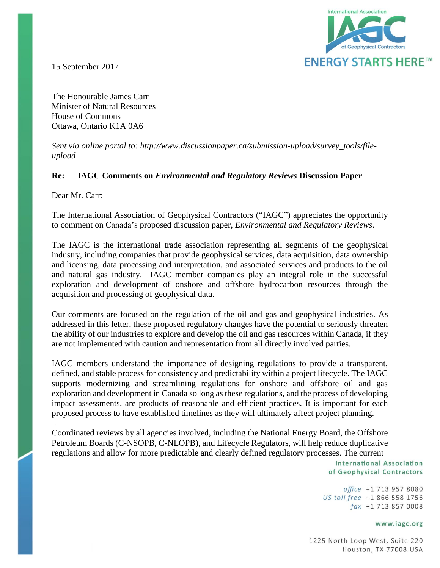

15 September 2017

The Honourable James Carr Minister of Natural Resources House of Commons Ottawa, Ontario K1A 0A6

*Sent via online portal to: http://www.discussionpaper.ca/submission-upload/survey\_tools/fileupload*

## **Re: IAGC Comments on** *Environmental and Regulatory Reviews* **Discussion Paper**

Dear Mr. Carr:

The International Association of Geophysical Contractors ("IAGC") appreciates the opportunity to comment on Canada's proposed discussion paper, *Environmental and Regulatory Reviews*.

The IAGC is the international trade association representing all segments of the geophysical industry, including companies that provide geophysical services, data acquisition, data ownership and licensing, data processing and interpretation, and associated services and products to the oil and natural gas industry. IAGC member companies play an integral role in the successful exploration and development of onshore and offshore hydrocarbon resources through the acquisition and processing of geophysical data.

Our comments are focused on the regulation of the oil and gas and geophysical industries. As addressed in this letter, these proposed regulatory changes have the potential to seriously threaten the ability of our industries to explore and develop the oil and gas resources within Canada, if they are not implemented with caution and representation from all directly involved parties.

IAGC members understand the importance of designing regulations to provide a transparent, defined, and stable process for consistency and predictability within a project lifecycle. The IAGC supports modernizing and streamlining regulations for onshore and offshore oil and gas exploration and development in Canada so long as these regulations, and the process of developing impact assessments, are products of reasonable and efficient practices. It is important for each proposed process to have established timelines as they will ultimately affect project planning.

Coordinated reviews by all agencies involved, including the National Energy Board, the Offshore Petroleum Boards (C-NSOPB, C-NLOPB), and Lifecycle Regulators, will help reduce duplicative regulations and allow for more predictable and clearly defined regulatory processes. The current

> **International Association** of Geophysical Contractors

office +1 713 957 8080 US toll free +1 866 558 1756  $\int ax +1$  713 857 0008

## www.iagc.org

1225 North Loop West, Suite 220 Houston, TX 77008 USA